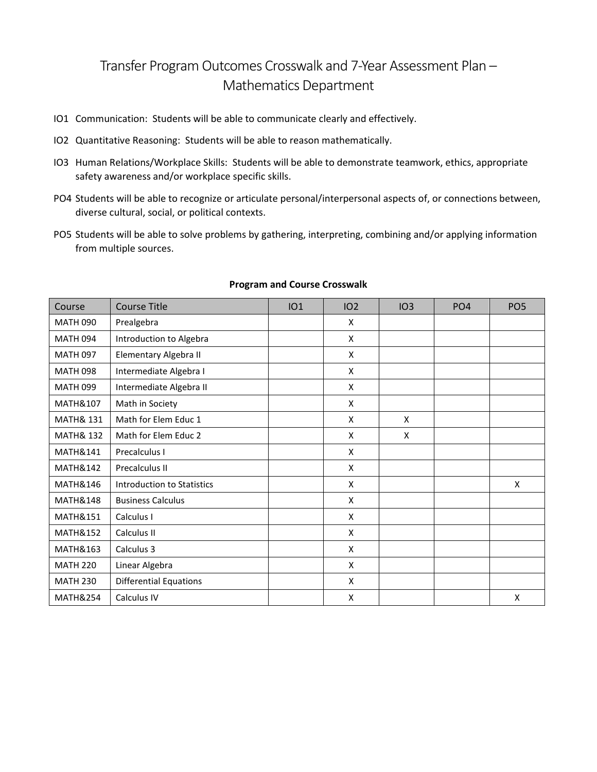## Transfer Program Outcomes Crosswalk and 7-Year Assessment Plan – Mathematics Department

- IO1 Communication: Students will be able to communicate clearly and effectively.
- IO2 Quantitative Reasoning: Students will be able to reason mathematically.
- IO3 Human Relations/Workplace Skills: Students will be able to demonstrate teamwork, ethics, appropriate safety awareness and/or workplace specific skills.
- PO4 Students will be able to recognize or articulate personal/interpersonal aspects of, or connections between, diverse cultural, social, or political contexts.
- PO5 Students will be able to solve problems by gathering, interpreting, combining and/or applying information from multiple sources.

| Course               | <b>Course Title</b>               | IO1 | 102 | IO3 | PO <sub>4</sub> | PO <sub>5</sub> |
|----------------------|-----------------------------------|-----|-----|-----|-----------------|-----------------|
| <b>MATH 090</b>      | Prealgebra                        |     | X   |     |                 |                 |
| <b>MATH 094</b>      | Introduction to Algebra           |     | X   |     |                 |                 |
| <b>MATH 097</b>      | Elementary Algebra II             |     | X   |     |                 |                 |
| <b>MATH 098</b>      | Intermediate Algebra I            |     | X   |     |                 |                 |
| <b>MATH 099</b>      | Intermediate Algebra II           |     | X   |     |                 |                 |
| MATH&107             | Math in Society                   |     | X   |     |                 |                 |
| <b>MATH&amp; 131</b> | Math for Elem Educ 1              |     | X   | X   |                 |                 |
| <b>MATH&amp; 132</b> | Math for Elem Educ 2              |     | X   | X   |                 |                 |
| <b>MATH&amp;141</b>  | Precalculus I                     |     | X   |     |                 |                 |
| <b>MATH&amp;142</b>  | Precalculus II                    |     | X   |     |                 |                 |
| <b>MATH&amp;146</b>  | <b>Introduction to Statistics</b> |     | X   |     |                 | X               |
| <b>MATH&amp;148</b>  | <b>Business Calculus</b>          |     | X   |     |                 |                 |
| MATH&151             | Calculus I                        |     | X   |     |                 |                 |
| <b>MATH&amp;152</b>  | Calculus II                       |     | X   |     |                 |                 |
| <b>MATH&amp;163</b>  | Calculus 3                        |     | X   |     |                 |                 |
| <b>MATH 220</b>      | Linear Algebra                    |     | X   |     |                 |                 |
| <b>MATH 230</b>      | <b>Differential Equations</b>     |     | X   |     |                 |                 |
| <b>MATH&amp;254</b>  | Calculus IV                       |     | X   |     |                 | X               |

## **Program and Course Crosswalk**